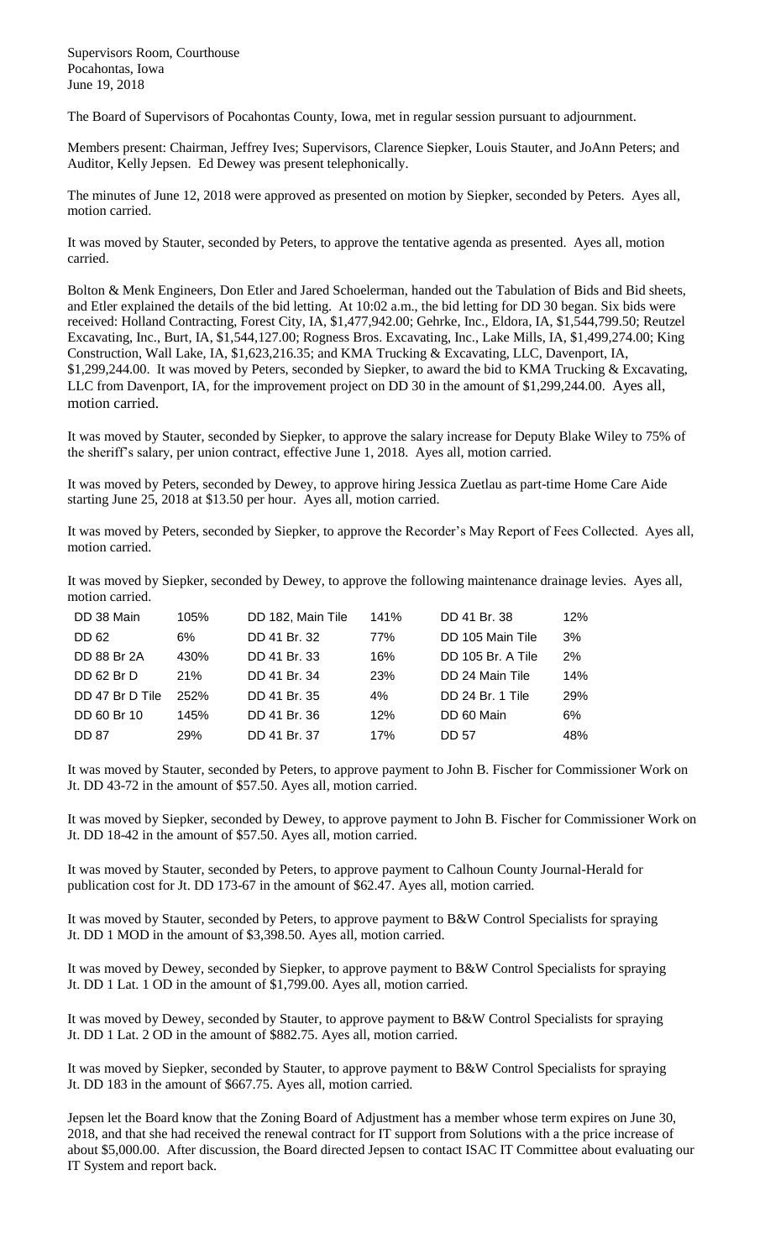Supervisors Room, Courthouse Pocahontas, Iowa June 19, 2018

The Board of Supervisors of Pocahontas County, Iowa, met in regular session pursuant to adjournment.

Members present: Chairman, Jeffrey Ives; Supervisors, Clarence Siepker, Louis Stauter, and JoAnn Peters; and Auditor, Kelly Jepsen. Ed Dewey was present telephonically.

The minutes of June 12, 2018 were approved as presented on motion by Siepker, seconded by Peters. Ayes all, motion carried.

It was moved by Stauter, seconded by Peters, to approve the tentative agenda as presented. Ayes all, motion carried.

Bolton & Menk Engineers, Don Etler and Jared Schoelerman, handed out the Tabulation of Bids and Bid sheets, and Etler explained the details of the bid letting. At 10:02 a.m., the bid letting for DD 30 began. Six bids were received: Holland Contracting, Forest City, IA, \$1,477,942.00; Gehrke, Inc., Eldora, IA, \$1,544,799.50; Reutzel Excavating, Inc., Burt, IA, \$1,544,127.00; Rogness Bros. Excavating, Inc., Lake Mills, IA, \$1,499,274.00; King Construction, Wall Lake, IA, \$1,623,216.35; and KMA Trucking & Excavating, LLC, Davenport, IA, \$1,299,244.00. It was moved by Peters, seconded by Siepker, to award the bid to KMA Trucking & Excavating, LLC from Davenport, IA, for the improvement project on DD 30 in the amount of \$1,299,244.00. Ayes all, motion carried.

It was moved by Stauter, seconded by Siepker, to approve the salary increase for Deputy Blake Wiley to 75% of the sheriff's salary, per union contract, effective June 1, 2018. Ayes all, motion carried.

It was moved by Peters, seconded by Dewey, to approve hiring Jessica Zuetlau as part-time Home Care Aide starting June 25, 2018 at \$13.50 per hour. Ayes all, motion carried.

It was moved by Peters, seconded by Siepker, to approve the Recorder's May Report of Fees Collected. Ayes all, motion carried.

It was moved by Siepker, seconded by Dewey, to approve the following maintenance drainage levies. Ayes all, motion carried.

| DD 38 Main        | 105% | DD 182, Main Tile | 141%       | DD 41 Br. 38      | 12%        |
|-------------------|------|-------------------|------------|-------------------|------------|
| <b>DD 62</b>      | 6%   | DD 41 Br. 32      | 77%        | DD 105 Main Tile  | 3%         |
| DD 88 Br 2A       | 430% | DD 41 Br. 33      | 16%        | DD 105 Br. A Tile | 2%         |
| <b>DD 62 Br D</b> | 21%  | DD 41 Br. 34      | <b>23%</b> | DD 24 Main Tile   | 14%        |
| DD 47 Br D Tile   | 252% | DD 41 Br. 35      | 4%         | DD 24 Br. 1 Tile  | <b>29%</b> |
| DD 60 Br 10       | 145% | DD 41 Br. 36      | 12%        | DD 60 Main        | 6%         |
| <b>DD 87</b>      | 29%  | DD 41 Br. 37      | 17%        | DD 57             | 48%        |

It was moved by Stauter, seconded by Peters, to approve payment to John B. Fischer for Commissioner Work on Jt. DD 43-72 in the amount of \$57.50. Ayes all, motion carried.

It was moved by Siepker, seconded by Dewey, to approve payment to John B. Fischer for Commissioner Work on Jt. DD 18-42 in the amount of \$57.50. Ayes all, motion carried.

It was moved by Stauter, seconded by Peters, to approve payment to Calhoun County Journal-Herald for publication cost for Jt. DD 173-67 in the amount of \$62.47. Ayes all, motion carried.

It was moved by Stauter, seconded by Peters, to approve payment to B&W Control Specialists for spraying Jt. DD 1 MOD in the amount of \$3,398.50. Ayes all, motion carried.

It was moved by Dewey, seconded by Siepker, to approve payment to B&W Control Specialists for spraying Jt. DD 1 Lat. 1 OD in the amount of \$1,799.00. Ayes all, motion carried.

It was moved by Dewey, seconded by Stauter, to approve payment to B&W Control Specialists for spraying Jt. DD 1 Lat. 2 OD in the amount of \$882.75. Ayes all, motion carried.

It was moved by Siepker, seconded by Stauter, to approve payment to B&W Control Specialists for spraying Jt. DD 183 in the amount of \$667.75. Ayes all, motion carried.

Jepsen let the Board know that the Zoning Board of Adjustment has a member whose term expires on June 30, 2018, and that she had received the renewal contract for IT support from Solutions with a the price increase of about \$5,000.00. After discussion, the Board directed Jepsen to contact ISAC IT Committee about evaluating our IT System and report back.